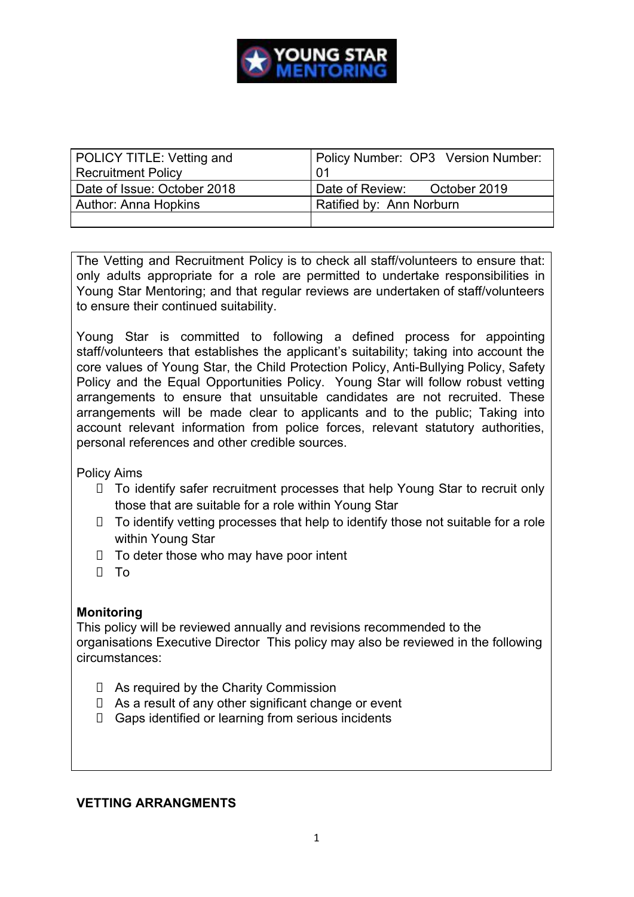

| POLICY TITLE: Vetting and   | Policy Number: OP3 Version Number: |
|-----------------------------|------------------------------------|
| <b>Recruitment Policy</b>   | -01                                |
| Date of Issue: October 2018 | Date of Review: October 2019       |
| Author: Anna Hopkins        | Ratified by: Ann Norburn           |
|                             |                                    |

The Vetting and Recruitment Policy is to check all staff/volunteers to ensure that: only adults appropriate for a role are permitted to undertake responsibilities in Young Star Mentoring; and that regular reviews are undertaken of staff/volunteers to ensure their continued suitability.

Young Star is committed to following a defined process for appointing staff/volunteers that establishes the applicant's suitability; taking into account the core values of Young Star, the Child Protection Policy, Anti-Bullying Policy, Safety Policy and the Equal Opportunities Policy. Young Star will follow robust vetting arrangements to ensure that unsuitable candidates are not recruited. These arrangements will be made clear to applicants and to the public; Taking into account relevant information from police forces, relevant statutory authorities, personal references and other credible sources.

Policy Aims

- To identify safer recruitment processes that help Young Star to recruit only those that are suitable for a role within Young Star
- $\Box$  To identify vetting processes that help to identify those not suitable for a role within Young Star
- $\Box$  To deter those who may have poor intent
- D To

### **Monitoring**

This policy will be reviewed annually and revisions recommended to the organisations Executive Director This policy may also be reviewed in the following circumstances:

- As required by the Charity Commission
- $\Box$  As a result of any other significant change or event
- Gaps identified or learning from serious incidents

### **VETTING ARRANGMENTS**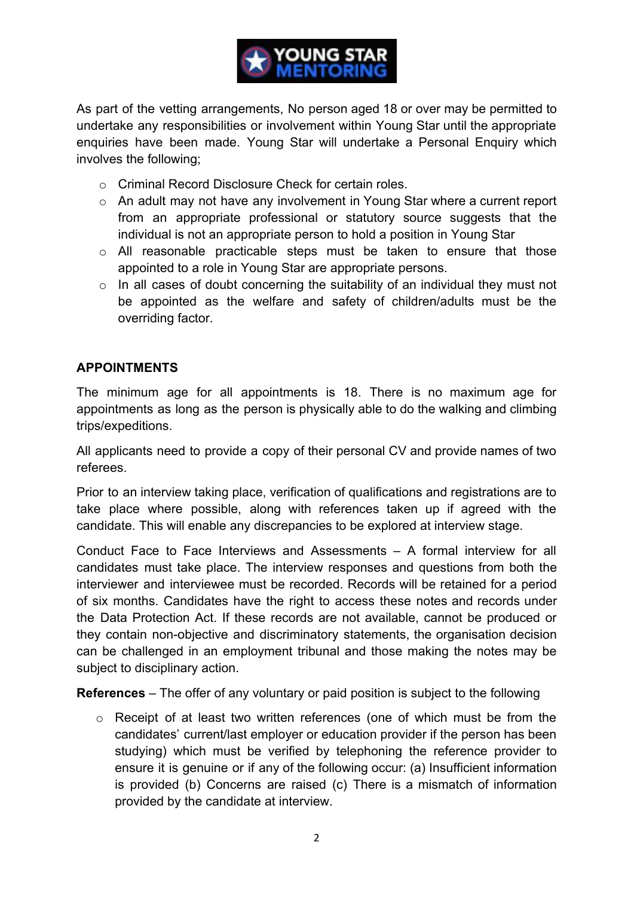

As part of the vetting arrangements, No person aged 18 or over may be permitted to undertake any responsibilities or involvement within Young Star until the appropriate enquiries have been made. Young Star will undertake a Personal Enquiry which involves the following;

- o Criminal Record Disclosure Check for certain roles.
- o An adult may not have any involvement in Young Star where a current report from an appropriate professional or statutory source suggests that the individual is not an appropriate person to hold a position in Young Star
- o All reasonable practicable steps must be taken to ensure that those appointed to a role in Young Star are appropriate persons.
- $\circ$  In all cases of doubt concerning the suitability of an individual they must not be appointed as the welfare and safety of children/adults must be the overriding factor.

# **APPOINTMENTS**

The minimum age for all appointments is 18. There is no maximum age for appointments as long as the person is physically able to do the walking and climbing trips/expeditions.

All applicants need to provide a copy of their personal CV and provide names of two referees.

Prior to an interview taking place, verification of qualifications and registrations are to take place where possible, along with references taken up if agreed with the candidate. This will enable any discrepancies to be explored at interview stage.

Conduct Face to Face Interviews and Assessments – A formal interview for all candidates must take place. The interview responses and questions from both the interviewer and interviewee must be recorded. Records will be retained for a period of six months. Candidates have the right to access these notes and records under the Data Protection Act. If these records are not available, cannot be produced or they contain non-objective and discriminatory statements, the organisation decision can be challenged in an employment tribunal and those making the notes may be subject to disciplinary action.

**References** – The offer of any voluntary or paid position is subject to the following

 $\circ$  Receipt of at least two written references (one of which must be from the candidates' current/last employer or education provider if the person has been studying) which must be verified by telephoning the reference provider to ensure it is genuine or if any of the following occur: (a) Insufficient information is provided (b) Concerns are raised (c) There is a mismatch of information provided by the candidate at interview.